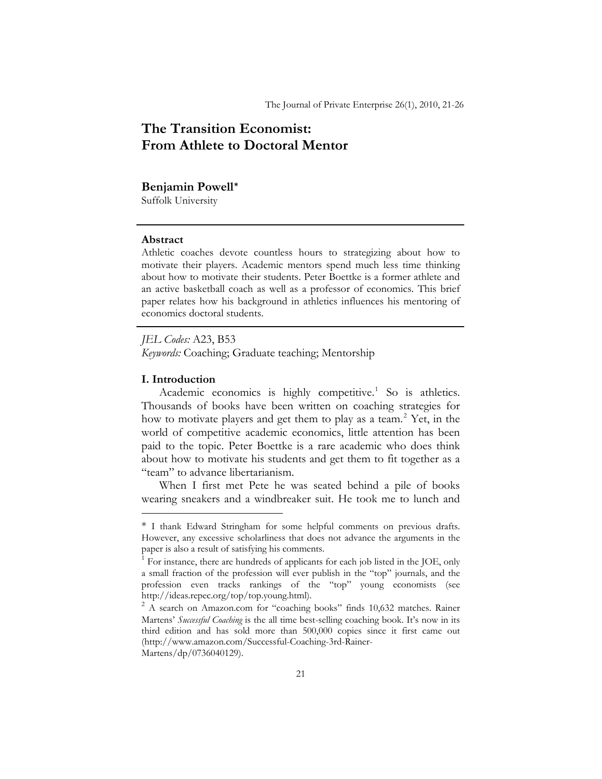# **The Transition Economist: From Athlete to Doctoral Mentor**

#### **Benjamin Powell[\\*](#page-0-0)**

Suffolk University

# **Abstract**

Athletic coaches devote countless hours to strategizing about how to motivate their players. Academic mentors spend much less time thinking about how to motivate their students. Peter Boettke is a former athlete and an active basketball coach as well as a professor of economics. This brief paper relates how his background in athletics influences his mentoring of economics doctoral students.

*JEL Codes:* A23, B53 *Keywords:* Coaching; Graduate teaching; Mentorship

## **I. Introduction**

<u>.</u>

Academic economics is highly competitive.<sup>[1](#page-0-1)</sup> So is athletics. Thousands of books have been written on coaching strategies for how to motivate players and get them to play as a team.<sup>[2](#page-0-2)</sup> Yet, in the world of competitive academic economics, little attention has been paid to the topic. Peter Boettke is a rare academic who does think about how to motivate his students and get them to fit together as a "team" to advance libertarianism.

When I first met Pete he was seated behind a pile of books wearing sneakers and a windbreaker suit. He took me to lunch and

<span id="page-0-0"></span><sup>\*</sup> I thank Edward Stringham for some helpful comments on previous drafts. However, any excessive scholarliness that does not advance the arguments in the paper is also a result of satisfying his comments.

<span id="page-0-1"></span><sup>1</sup> For instance, there are hundreds of applicants for each job listed in the JOE, only a small fraction of the profession will ever publish in the "top" journals, and the profession even tracks rankings of the "top" young economists (see http://ideas.repec.org/top/top.young.html). 2

<span id="page-0-2"></span><sup>&</sup>lt;sup>2</sup> A search on Amazon.com for "coaching books" finds 10,632 matches. Rainer Martens' *Successful Coaching* is the all time best-selling coaching book. It's now in its third edition and has sold more than 500,000 copies since it first came out (http://www.amazon.com/Successful-Coaching-3rd-Rainer-Martens/dp/0736040129).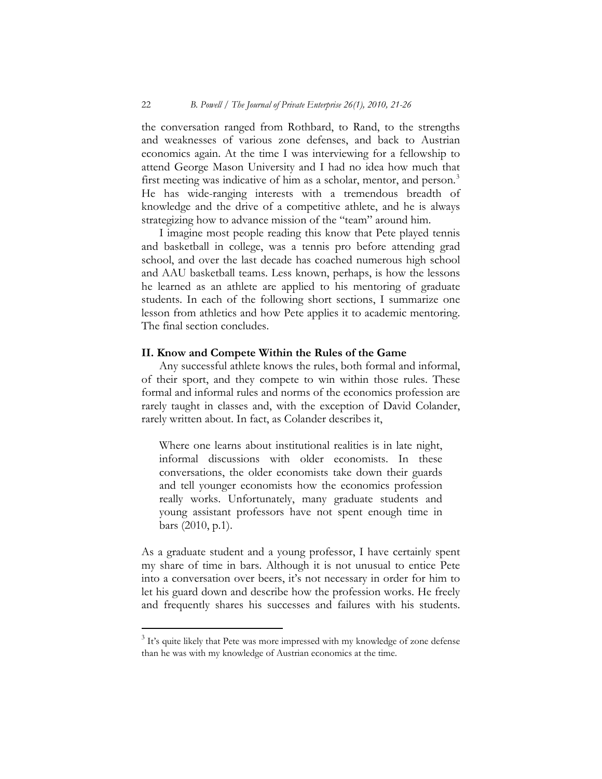the conversation ranged from Rothbard, to Rand, to the strengths and weaknesses of various zone defenses, and back to Austrian economics again. At the time I was interviewing for a fellowship to attend George Mason University and I had no idea how much that first meeting was indicative of him as a scholar, mentor, and person.<sup>[3](#page-1-0)</sup> He has wide-ranging interests with a tremendous breadth of knowledge and the drive of a competitive athlete, and he is always strategizing how to advance mission of the "team" around him.

I imagine most people reading this know that Pete played tennis and basketball in college, was a tennis pro before attending grad school, and over the last decade has coached numerous high school and AAU basketball teams. Less known, perhaps, is how the lessons he learned as an athlete are applied to his mentoring of graduate students. In each of the following short sections, I summarize one lesson from athletics and how Pete applies it to academic mentoring. The final section concludes.

#### **II. Know and Compete Within the Rules of the Game**

Any successful athlete knows the rules, both formal and informal, of their sport, and they compete to win within those rules. These formal and informal rules and norms of the economics profession are rarely taught in classes and, with the exception of David Colander, rarely written about. In fact, as Colander describes it,

Where one learns about institutional realities is in late night, informal discussions with older economists. In these conversations, the older economists take down their guards and tell younger economists how the economics profession really works. Unfortunately, many graduate students and young assistant professors have not spent enough time in bars (2010, p.1).

As a graduate student and a young professor, I have certainly spent my share of time in bars. Although it is not unusual to entice Pete into a conversation over beers, it's not necessary in order for him to let his guard down and describe how the profession works. He freely and frequently shares his successes and failures with his students.

 $\overline{a}$ 

<span id="page-1-0"></span><sup>&</sup>lt;sup>3</sup> It's quite likely that Pete was more impressed with my knowledge of zone defense than he was with my knowledge of Austrian economics at the time.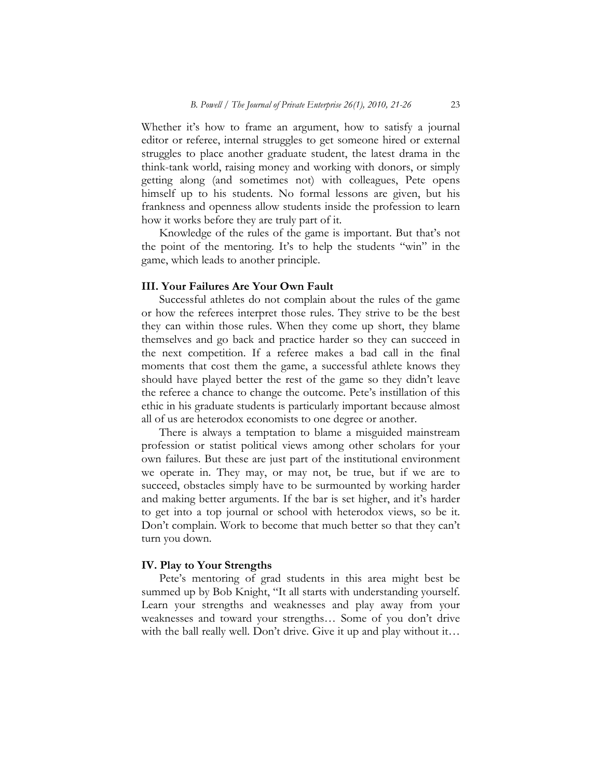Whether it's how to frame an argument, how to satisfy a journal editor or referee, internal struggles to get someone hired or external struggles to place another graduate student, the latest drama in the think-tank world, raising money and working with donors, or simply getting along (and sometimes not) with colleagues, Pete opens himself up to his students. No formal lessons are given, but his frankness and openness allow students inside the profession to learn how it works before they are truly part of it.

Knowledge of the rules of the game is important. But that's not the point of the mentoring. It's to help the students "win" in the game, which leads to another principle.

# **III. Your Failures Are Your Own Fault**

Successful athletes do not complain about the rules of the game or how the referees interpret those rules. They strive to be the best they can within those rules. When they come up short, they blame themselves and go back and practice harder so they can succeed in the next competition. If a referee makes a bad call in the final moments that cost them the game, a successful athlete knows they should have played better the rest of the game so they didn't leave the referee a chance to change the outcome. Pete's instillation of this ethic in his graduate students is particularly important because almost all of us are heterodox economists to one degree or another.

There is always a temptation to blame a misguided mainstream profession or statist political views among other scholars for your own failures. But these are just part of the institutional environment we operate in. They may, or may not, be true, but if we are to succeed, obstacles simply have to be surmounted by working harder and making better arguments. If the bar is set higher, and it's harder to get into a top journal or school with heterodox views, so be it. Don't complain. Work to become that much better so that they can't turn you down.

#### **IV. Play to Your Strengths**

Pete's mentoring of grad students in this area might best be summed up by Bob Knight, "It all starts with understanding yourself. Learn your strengths and weaknesses and play away from your weaknesses and toward your strengths… Some of you don't drive with the ball really well. Don't drive. Give it up and play without it...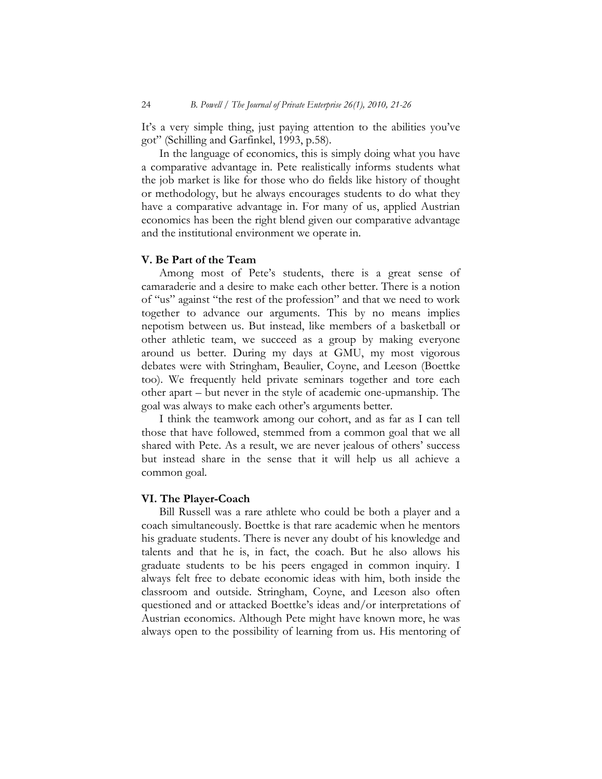It's a very simple thing, just paying attention to the abilities you've got" (Schilling and Garfinkel, 1993, p.58).

In the language of economics, this is simply doing what you have a comparative advantage in. Pete realistically informs students what the job market is like for those who do fields like history of thought or methodology, but he always encourages students to do what they have a comparative advantage in. For many of us, applied Austrian economics has been the right blend given our comparative advantage and the institutional environment we operate in.

### **V. Be Part of the Team**

Among most of Pete's students, there is a great sense of camaraderie and a desire to make each other better. There is a notion of "us" against "the rest of the profession" and that we need to work together to advance our arguments. This by no means implies nepotism between us. But instead, like members of a basketball or other athletic team, we succeed as a group by making everyone around us better. During my days at GMU, my most vigorous debates were with Stringham, Beaulier, Coyne, and Leeson (Boettke too). We frequently held private seminars together and tore each other apart – but never in the style of academic one-upmanship. The goal was always to make each other's arguments better.

I think the teamwork among our cohort, and as far as I can tell those that have followed, stemmed from a common goal that we all shared with Pete. As a result, we are never jealous of others' success but instead share in the sense that it will help us all achieve a common goal.

#### **VI. The Player-Coach**

Bill Russell was a rare athlete who could be both a player and a coach simultaneously. Boettke is that rare academic when he mentors his graduate students. There is never any doubt of his knowledge and talents and that he is, in fact, the coach. But he also allows his graduate students to be his peers engaged in common inquiry. I always felt free to debate economic ideas with him, both inside the classroom and outside. Stringham, Coyne, and Leeson also often questioned and or attacked Boettke's ideas and/or interpretations of Austrian economics. Although Pete might have known more, he was always open to the possibility of learning from us. His mentoring of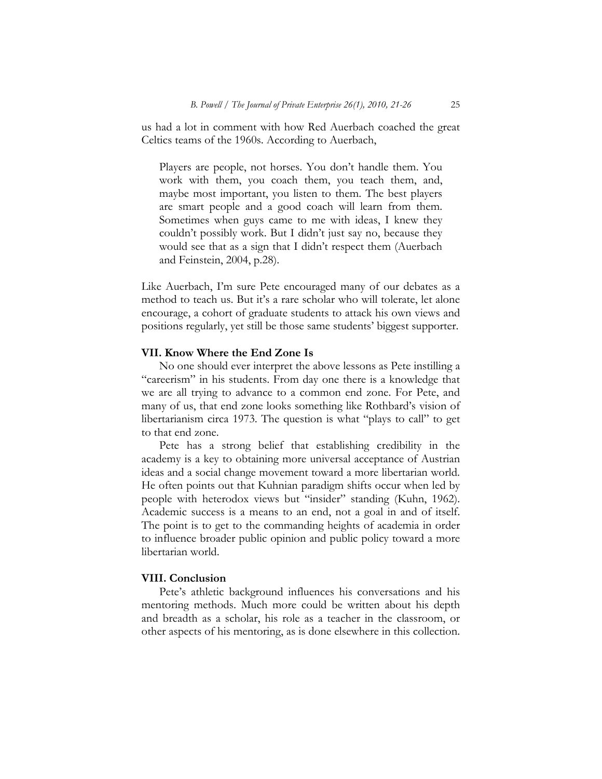us had a lot in comment with how Red Auerbach coached the great Celtics teams of the 1960s. According to Auerbach,

Players are people, not horses. You don't handle them. You work with them, you coach them, you teach them, and, maybe most important, you listen to them. The best players are smart people and a good coach will learn from them. Sometimes when guys came to me with ideas, I knew they couldn't possibly work. But I didn't just say no, because they would see that as a sign that I didn't respect them (Auerbach and Feinstein, 2004, p.28).

Like Auerbach, I'm sure Pete encouraged many of our debates as a method to teach us. But it's a rare scholar who will tolerate, let alone encourage, a cohort of graduate students to attack his own views and positions regularly, yet still be those same students' biggest supporter.

#### **VII. Know Where the End Zone Is**

No one should ever interpret the above lessons as Pete instilling a "careerism" in his students. From day one there is a knowledge that we are all trying to advance to a common end zone. For Pete, and many of us, that end zone looks something like Rothbard's vision of libertarianism circa 1973. The question is what "plays to call" to get to that end zone.

Pete has a strong belief that establishing credibility in the academy is a key to obtaining more universal acceptance of Austrian ideas and a social change movement toward a more libertarian world. He often points out that Kuhnian paradigm shifts occur when led by people with heterodox views but "insider" standing (Kuhn, 1962). Academic success is a means to an end, not a goal in and of itself. The point is to get to the commanding heights of academia in order to influence broader public opinion and public policy toward a more libertarian world.

## **VIII. Conclusion**

Pete's athletic background influences his conversations and his mentoring methods. Much more could be written about his depth and breadth as a scholar, his role as a teacher in the classroom, or other aspects of his mentoring, as is done elsewhere in this collection.